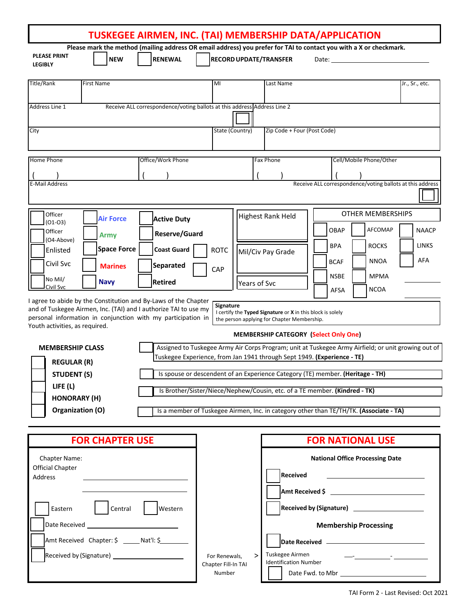|                                           |                        |                                                                                                                                                                                                     |                                                                                                                                                     |              |                                                                                                           | TUSKEGEE AIRMEN, INC. (TAI) MEMBERSHIP DATA/APPLICATION<br>Please mark the method (mailing address OR email address) you prefer for TAI to contact you with a X or checkmark. |                |  |
|-------------------------------------------|------------------------|-----------------------------------------------------------------------------------------------------------------------------------------------------------------------------------------------------|-----------------------------------------------------------------------------------------------------------------------------------------------------|--------------|-----------------------------------------------------------------------------------------------------------|-------------------------------------------------------------------------------------------------------------------------------------------------------------------------------|----------------|--|
| <b>PLEASE PRINT</b><br><b>LEGIBLY</b>     | <b>NEW</b>             | <b>RENEWAL</b>                                                                                                                                                                                      | <b>RECORD UPDATE/TRANSFER</b>                                                                                                                       |              |                                                                                                           |                                                                                                                                                                               |                |  |
| <b>Title/Rank</b>                         | <b>First Name</b>      |                                                                                                                                                                                                     | MI                                                                                                                                                  |              | Last Name                                                                                                 |                                                                                                                                                                               | Jr., Sr., etc. |  |
| Address Line 1                            |                        | Receive ALL correspondence/voting ballots at this address Address Line 2                                                                                                                            |                                                                                                                                                     |              |                                                                                                           |                                                                                                                                                                               |                |  |
| City                                      |                        |                                                                                                                                                                                                     | State (Country)                                                                                                                                     |              | Zip Code + Four (Post Code)                                                                               |                                                                                                                                                                               |                |  |
| Home Phone                                |                        | Office/Work Phone                                                                                                                                                                                   |                                                                                                                                                     |              | Fax Phone                                                                                                 | Cell/Mobile Phone/Other                                                                                                                                                       |                |  |
| <b>E-Mail Address</b>                     |                        |                                                                                                                                                                                                     |                                                                                                                                                     |              |                                                                                                           | Receive ALL correspondence/voting ballots at this address                                                                                                                     |                |  |
| Officer                                   | <b>Air Force</b>       | <b>Active Duty</b>                                                                                                                                                                                  |                                                                                                                                                     |              | <b>Highest Rank Held</b>                                                                                  | <b>OTHER MEMBERSHIPS</b>                                                                                                                                                      |                |  |
| $(01-03)$<br>Officer                      | <b>Army</b>            | Reserve/Guard                                                                                                                                                                                       |                                                                                                                                                     |              |                                                                                                           | <b>AFCOMAP</b><br>OBAP                                                                                                                                                        | <b>NAACP</b>   |  |
| (O4-Above)<br>Enlisted                    | <b>Space Force</b>     | <b>Coast Guard</b>                                                                                                                                                                                  | <b>ROTC</b>                                                                                                                                         |              | Mil/Civ Pay Grade                                                                                         | <b>ROCKS</b><br><b>BPA</b>                                                                                                                                                    | <b>LINKS</b>   |  |
| Civil Svc                                 | <b>Marines</b>         | <b>Separated</b>                                                                                                                                                                                    | CAP                                                                                                                                                 |              |                                                                                                           | <b>NNOA</b><br><b>BCAF</b>                                                                                                                                                    | AFA            |  |
| No Mil/<br>Civil Svc                      | <b>Navy</b>            | Retired                                                                                                                                                                                             |                                                                                                                                                     | Years of Svc |                                                                                                           | <b>NSBE</b><br><b>MPMA</b><br><b>NCOA</b><br>AFSA                                                                                                                             |                |  |
| Youth activities, as required.            |                        | I agree to abide by the Constitution and By-Laws of the Chapter<br>and of Tuskegee Airmen, Inc. (TAI) and I authorize TAI to use my<br>personal information in conjunction with my participation in | <b>Signature</b>                                                                                                                                    |              | I certify the Typed Signature or X in this block is solely<br>the person applying for Chapter Membership. |                                                                                                                                                                               |                |  |
| <b>MEMBERSHIP CLASS</b>                   |                        |                                                                                                                                                                                                     | <b>MEMBERSHIP CATEGORY (Select Only One)</b><br>Assigned to Tuskegee Army Air Corps Program; unit at Tuskegee Army Airfield; or unit growing out of |              |                                                                                                           |                                                                                                                                                                               |                |  |
| <b>REGULAR (R)</b>                        |                        | Tuskegee Experience, from Jan 1941 through Sept 1949. (Experience - TE)                                                                                                                             |                                                                                                                                                     |              |                                                                                                           |                                                                                                                                                                               |                |  |
| <b>STUDENT (S)</b>                        |                        | Is spouse or descendent of an Experience Category (TE) member. (Heritage - TH)                                                                                                                      |                                                                                                                                                     |              |                                                                                                           |                                                                                                                                                                               |                |  |
| LIFE $(L)$<br><b>HONORARY (H)</b>         |                        |                                                                                                                                                                                                     | Is Brother/Sister/Niece/Nephew/Cousin, etc. of a TE member. (Kindred - TK)                                                                          |              |                                                                                                           |                                                                                                                                                                               |                |  |
| Organization (O)                          |                        |                                                                                                                                                                                                     |                                                                                                                                                     |              |                                                                                                           | Is a member of Tuskegee Airmen, Inc. in category other than TE/TH/TK. (Associate - TA)                                                                                        |                |  |
|                                           | <b>FOR CHAPTER USE</b> |                                                                                                                                                                                                     |                                                                                                                                                     |              |                                                                                                           | <b>FOR NATIONAL USE</b>                                                                                                                                                       |                |  |
| Chapter Name:                             |                        |                                                                                                                                                                                                     |                                                                                                                                                     |              |                                                                                                           | <b>National Office Processing Date</b>                                                                                                                                        |                |  |
| <b>Official Chapter</b><br>Address        |                        |                                                                                                                                                                                                     |                                                                                                                                                     |              | <b>Received</b>                                                                                           | <u> 1980 - Andrea Aonaichte ann an t-Aonaichte ann an t-Aonaichte ann an t-Aonaichte ann an t-Aonaichte ann an t-</u>                                                         |                |  |
|                                           |                        |                                                                                                                                                                                                     |                                                                                                                                                     |              |                                                                                                           | Amt Received \$ _______________________________                                                                                                                               |                |  |
| Eastern                                   | Central                | Western                                                                                                                                                                                             |                                                                                                                                                     |              |                                                                                                           |                                                                                                                                                                               |                |  |
|                                           |                        |                                                                                                                                                                                                     |                                                                                                                                                     |              |                                                                                                           | <b>Membership Processing</b>                                                                                                                                                  |                |  |
| Amt Received Chapter: \$ ______ Nat'l: \$ |                        |                                                                                                                                                                                                     |                                                                                                                                                     |              |                                                                                                           |                                                                                                                                                                               |                |  |
|                                           |                        |                                                                                                                                                                                                     | For Renewals,<br>Chapter Fill-In TAI                                                                                                                | $\geq$       | Tuskegee Airmen<br><b>Identification Number</b>                                                           |                                                                                                                                                                               |                |  |
|                                           |                        |                                                                                                                                                                                                     | Number                                                                                                                                              |              |                                                                                                           |                                                                                                                                                                               |                |  |

Г

TAI Form 2 - Last Revised: Oct 2021

٦